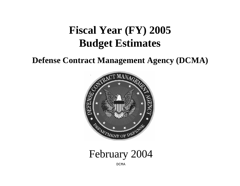# **Fiscal Year (FY) 2005 Budget Estimates**

## **Defense Contract Management Agency (DCMA)**



February 2004

DCMA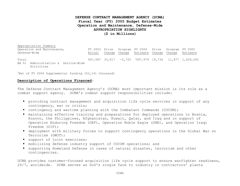## **DEFENSE CONTRACT MANAGEMENT AGENCY (DCMA) Fiscal Year (FY) 2005 Budget Estimates Operation and Maintenance, Defense-Wide APPROPRIATION HIGHLIGHTS (\$ in Millions)**

Appropriation Summary Operation and Maintenance, Defense-Wide FY 2003 Price Program FY 2004 Price Program FY 2005 Actual Change Change Estimate Change Change Estimate Total BA 4: Administration & Service-Wide Activities 967,087 33,617 -2,725 <sup>1</sup>997,979 19,736 11,877 1,029,592

<sup>1</sup>Net of FY 2004 Supplemental funding  $(53, 141$  thousand)

#### **Description of Operations Financed:**

The Defense Contract Management Agency's (DCMA) most important mission is its role as a combat support agency. DCMA's combat support responsibilities include:

- providing contract management and acquisition life cycle services in support of any contingency, war or crisis;
- contingency and wartime planning with the Combatant Commands (COCOM);
- maintaining effective training and preparations for deployed operations in Bosnia, Kosovo, the Philippines, Afghanistan, Kuwait, Qatar, and Iraq and in support of Operation Enduring Freedom (OEF), Operation Noble Eagle (ONE), and Operation Iraqi Freedom (OIF);
- deployment with military forces to support contingency operations in the Global War on Terrorism (GWOT);
- support of joint exercises;
- mobilizing defense industry support of COCOM operations; and
- $\texttt{I}$  supporting Homeland Defense in cases of natural disaster, terrorism and other contingencies.

DCMA provides customer-focused acquisition life cycle support to ensure warfighter readiness, 24/7, worldwide. DCMA serves as DoD's single face to industry in contractors' plants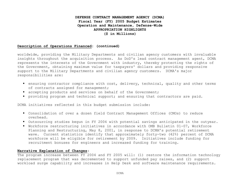## **DEFENSE CONTRACT MANAGEMENT AGENCY (DCMA) Fiscal Year (FY) 2005 Budget Estimates Operation and Maintenance, Defense-Wide APPROPRIATION HIGHLIGHTS (\$ in Millions)**

#### **Description of Operations Financed: (continued)**

worldwide, providing the Military Departments and civilian agency customers with invaluable insights throughout the acquisition process. As DoD's lead contract management agent, DCMA represents the interests of the Government with industry, thereby protecting the rights of the Government, obtaining maximum value for taxpayers' dollars and providing responsive support to the Military Departments and civilian agency customers. DCMA's major responsibilities are:

- ensuring contractor compliance with cost, delivery, technical, quality and other terms of contracts assigned for management;
- **•** accepting products and services on behalf of the Government;
- providing program and technical support; and ensuring that contractors are paid.

DCMA initiatives reflected in this budget submission include:

- Consolidation of over a dozen field Contract Management Offices (CMOs) to reduce overhead.
- $\blacksquare$  Outsourcing studies begun in FY 2004 with potential savings anticipated in the outyear.
- Workforce restructuring initiatives in accordance with OMB Bulletin 01-07, Workforce Planning and Restructuring, May 8, 2001, in response to DCMA's potential retirement wave. Current statistics identify that approximately forty-two (42%) percent of DCMA workforce will be eligible for retirement by 2009. Initiatives include funding for recruitment bonuses for engineers and increased funding for training.

#### **Narrative Explanation of Changes:**

The program increase between FY 2004 and FY 2005 will: (1) restore the information technology replacement program that was decremented to support unfunded pay raises, and (2) support workload surge capability and increases in Help Desk and software maintenance requirements.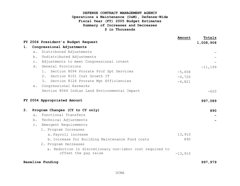## **DEFENSE CONTRACT MANAGEMENT AGENCY Operations & Maintenance (O&M), Defense-Wide Fiscal Year (FY) 2005 Budget Estimates Summary of Increases and Decreases \$ in Thousands**

|                |           |                                                          | Amount    | Totals     |
|----------------|-----------|----------------------------------------------------------|-----------|------------|
|                |           | FY 2004 President's Budget Request                       |           | 1,008,908  |
| 1.             |           | Congressional Adjustments                                |           |            |
|                | a.        | Distributed Adjustments                                  |           |            |
|                | b.        | Undistributed Adjustments                                |           |            |
|                | $\circ$ . | Adjustments to meet Congressional intent                 |           |            |
|                |           | d. General Provisions                                    |           | $-11, 199$ |
|                |           | Section 8094 Prorate Prof Spt Services<br>$1$ .          | $-5,658$  |            |
|                |           | 2.<br>Section 8101 Cost Growth IT                        | $-0,720$  |            |
|                |           | Section 8126 Prorate Mgt Efficiencies<br>3.              | $-4,821$  |            |
|                | $e$ .     | Congressional Earmarks                                   |           |            |
|                |           | Section 8044 Indian Land Environmental Impact            |           | $-620$     |
|                |           |                                                          |           |            |
|                |           | FY 2004 Appropriated Amount                              |           | 997,089    |
| 2 <sub>1</sub> |           | Program Changes (CY to CY only)                          |           |            |
|                | $a$ .     | Functional Transfers                                     |           | 890        |
|                |           |                                                          |           |            |
|                |           | b. Technical Adjustments                                 |           |            |
|                |           | c. Emergent Requirements                                 |           |            |
|                |           | 1. Program Increases                                     |           |            |
|                |           | a. Payroll increase                                      | 13,910    |            |
|                |           | b. Increase for Building Maintenance Fund costs          | 890       |            |
|                |           | 2. Program Decreases                                     |           |            |
|                |           | a. Reduction in discretionary non-labor cost required to |           |            |
|                |           | offset the pay raise                                     | $-13,910$ |            |
|                |           | Baseline Funding                                         |           | 997,979    |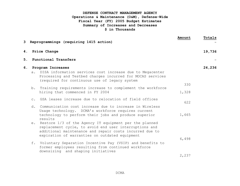## **DEFENSE CONTRACT MANAGEMENT AGENCY Operations & Maintenance (O&M), Defense-Wide Fiscal Year (FY) 2005 Budget Estimates Summary of Increases and Decreases \$ in Thousands**

|    |    | 3 Reprogrammings (requiring 1415 action)                                                                                                                                                                                                                                                                  | Amount         | Totals |
|----|----|-----------------------------------------------------------------------------------------------------------------------------------------------------------------------------------------------------------------------------------------------------------------------------------------------------------|----------------|--------|
| 4. |    | Price Change                                                                                                                                                                                                                                                                                              |                | 19,736 |
| 5. |    | Functional Transfers                                                                                                                                                                                                                                                                                      |                |        |
|    |    | 6. Program Increases<br>a. DISA information services cost increase due to Megacenter<br>Processing and Testbed charges incurred for MOCAS services<br>(required for continuous use of legacy system                                                                                                       |                | 24,236 |
|    |    | b. Training requirements increase to complement the workforce<br>hiring that commenced in FY 2004                                                                                                                                                                                                         | 330<br>1,328   |        |
|    | d. | c. GSA leases increase due to relocation of field offices<br>Communication cost increase due to increase in Wireless                                                                                                                                                                                      | 622            |        |
|    |    | Usage technology. DCMA's workforce requires current<br>technology to perform their jobs and produce superior<br>results<br>e. Restore 1/3 of the Agency IT equipment per the planned<br>replacement cycle, to avoid end user interruptions and<br>additional maintenance and repair costs incurred due to | 1,665          |        |
|    |    | expiration of warranties on outdated equipment<br>f. Voluntary Separation Incentive Pay (VSIP) and benefits to<br>former employees resulting from continued workforce<br>downsizing and shaping initiatives                                                                                               | 6,498<br>2,237 |        |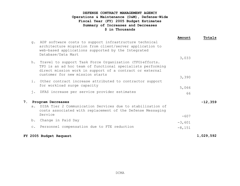## **DEFENSE CONTRACT MANAGEMENT AGENCY Operations & Maintenance (O&M), Defense-Wide Fiscal Year (FY) 2005 Budget Estimates Summary of Increases and Decreases \$ in Thousands**

|    |                |                                                                                                                                                                                                                       | Amount   | Totals    |
|----|----------------|-----------------------------------------------------------------------------------------------------------------------------------------------------------------------------------------------------------------------|----------|-----------|
|    | q.             | ADP software costs to support infrastructure technical<br>architecture migration from client/server application to<br>web-based applications supported by the Integrated<br>Database/Data Mart                        |          |           |
|    |                |                                                                                                                                                                                                                       | 3,033    |           |
|    | h.             | Travel to support Task Force Organization (TFO) efforts.<br>TFO is an ad hoc team of functional specialists performing<br>direct mission work in support of a contract or external<br>customer for new mission starts |          |           |
|    |                |                                                                                                                                                                                                                       | 3,390    |           |
|    | i.             | Other contract increase attributed to contractor support<br>for workload surge capacity                                                                                                                               |          |           |
|    |                |                                                                                                                                                                                                                       | 5,066    |           |
|    | j.             | DFAS increase per service provider estimates                                                                                                                                                                          | 66       |           |
| 7. |                | Program Decreases                                                                                                                                                                                                     |          | $-12,359$ |
|    |                | a. DISA Tier 2 Communication Services due to stabilization of<br>costs associated with replacement of the Defense Messaging                                                                                           |          |           |
|    |                | Service                                                                                                                                                                                                               | $-607$   |           |
|    | $b$ .          | Change in Paid Day                                                                                                                                                                                                    | $-3,601$ |           |
|    | $\mathbb{C}$ . | Personnel compensation due to FTE reduction                                                                                                                                                                           | $-8,151$ |           |
|    |                |                                                                                                                                                                                                                       |          |           |
|    |                | FY 2005 Budget Request                                                                                                                                                                                                |          | 1,029,592 |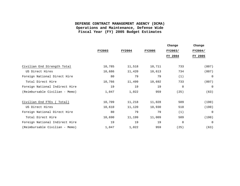## **DEFENSE CONTRACT MANAGEMENT AGENCY (DCMA) Operations and Maintenance, Defense Wide Fiscal Year (FY) 2005 Budget Estimates**

|                                |        |               |               | Change      | Change         |
|--------------------------------|--------|---------------|---------------|-------------|----------------|
|                                | FY2003 | <b>FY2004</b> | <b>FY2005</b> | FY2003/     | FY2004/        |
|                                |        |               |               | FY 2004     | FY 2005        |
| Civilian End Strength Total    | 10,785 | 11,518        | 10,711        | 733         | (807)          |
| US Direct Hires                | 10,686 | 11,420        | 10,613        | 734         | (807)          |
| Foreign National Direct Hire   | 80     | 79            | 79            | (1)         | $\overline{0}$ |
| Total Direct Hire              | 10,766 | 11,499        | 10,692        | 733         | (807)          |
| Foreign National Indirect Hire | 19     | 19            | 19            | $\mathbf 0$ | $\Omega$       |
| (Reimbursable Civilian - Memo) | 1,047  | 1,022         | 959           | (25)        | (63)           |
| Civilian End FTEs<br>Total)    | 10,709 | 11,218        | 11,028        | 509         | (190)          |
| US Direct Hires                | 10,610 | 11,120        | 10,930        | 510         | (190)          |
| Foreign National Direct Hire   | 80     | 79            | 79            | (1)         | 0              |
| Total Direct Hire              | 10,690 | 11,199        | 11,009        | 509         | (190)          |
| Foreign National Indirect Hire | 19     | 19            | 19            | $\mathbf 0$ | $\Omega$       |
| (Reimbursable Civilian - Memo) | 1,047  | 1,022         | 959           | (25)        | (63)           |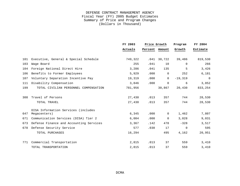|     |                                         | FY 2003 | Price Growth   |                |           |             | Program | FY 2004 |  |
|-----|-----------------------------------------|---------|----------------|----------------|-----------|-------------|---------|---------|--|
|     |                                         | Actuals | Percent Amount |                | Growth    | Estimate    |         |         |  |
| 101 | Executive, General & Special Schedule   | 749,322 |                | $.041$ 30,722  | 39,486    | 819,530     |         |         |  |
| 103 | Wage Board                              | 255     | .041           | 10             | $\Omega$  | 266         |         |         |  |
| 104 | Foreign National Direct Hire            | 3,286   | .041           | 135            | 5         | 3,426       |         |         |  |
| 106 | Benefits to Former Employees            | 5,929   | .000           | $\mathbf 0$    | 252       | 6,181       |         |         |  |
| 107 | Voluntary Separation Incentive Pay      | 19,319  | .000           | $\overline{0}$ | $-19,319$ | $\mathbf 0$ |         |         |  |
| 111 | Disability Compensation                 | 3,846   | .000           | $\mathbf 0$    | 6         | 3,852       |         |         |  |
| 199 | TOTAL CIVILIAN PERSONNEL COMPENSATION   | 781,956 |                | 30,867         | 20,430    | 833,254     |         |         |  |
| 308 | Travel of Persons                       | 27,430  | .013           | 357            | 744       | 28,530      |         |         |  |
|     | TOTAL TRAVEL                            | 27,430  | .013           | 357            | 744       | 28,530      |         |         |  |
|     | DISA Information Services (includes     |         |                |                |           |             |         |         |  |
| 647 | Megacenters)                            | 6,345   | .000           | $\overline{0}$ | 1,462     | 7,807       |         |         |  |
| 671 | Communication Services (DISA) Tier 2    | 6,004   | .000           | $\mathbf 0$    | 3,028     | 9,031       |         |         |  |
| 673 | Defense Finance and Accounting Services | 3,367   | .142           | 478            | $-328$    | 3,517       |         |         |  |
| 678 | Defense Security Service                | 577     | .030           | 17             | $\Omega$  | 595         |         |         |  |
|     | TOTAL PURCHASES                         | 16,294  |                | 495            | 4,162     | 20,951      |         |         |  |
| 771 | Commercial Transportation               | 2,815   | .013           | 37             | 559       | 3,410       |         |         |  |
|     | TOTAL TRANSPORTATION                    | 2,815   | .013           | 37             | 559       | 3,410       |         |         |  |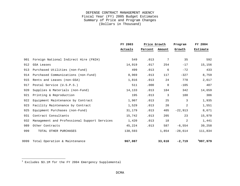|      |                                              | FY 2003 | Price Growth |             |                |          |  | Program | FY 2004 |  |
|------|----------------------------------------------|---------|--------------|-------------|----------------|----------|--|---------|---------|--|
|      |                                              | Actuals | Percent      | Amount      | Growth         | Estimate |  |         |         |  |
| 901  | Foreign National Indirect Hire (FNIH)        | 549     | .013         | 7           | 35             | 592      |  |         |         |  |
| 912  | <b>GSA Leases</b>                            | 14,919  | .017         | 254         | $-17$          | 15,156   |  |         |         |  |
| 913  | Purchased Utilities (non-Fund)               | 499     | .013         | 6           | $-72$          | 433      |  |         |         |  |
| 914  | Purchased Communications (non-Fund)          | 8,969   | .013         | 117         | $-327$         | 8,759    |  |         |         |  |
| 915  | Rents and Leases (non-GSA)                   | 1,816   | .013         | 24          | 778            | 2,617    |  |         |         |  |
| 917  | Postal Service (U.S.P.S.)                    | 511     | .000         | $\mathbf 0$ | $-105$         | 407      |  |         |         |  |
| 920  | Supplies & Materials (non-Fund)              | 14,133  | .013         | 184         | 342            | 14,659   |  |         |         |  |
| 921  | Printing & Reproduction                      | 195     | .013         | 3           | 188            | 386      |  |         |         |  |
| 922  | Equipment Maintenance by Contract            | 1,907   | .013         | 25          | 3              | 1,935    |  |         |         |  |
| 923  | Facility Maintenance by Contract             | 1,529   | .013         | 20          | $\overline{2}$ | 1,551    |  |         |         |  |
| 925  | Equipment Purchases (non-Fund)               | 31,179  | .013         | 405         | $-22,913$      | 8,671    |  |         |         |  |
| 931  | Contract Consultants                         | 15,742  | .013         | 205         | 23             | 15,970   |  |         |         |  |
| 932  | Management and Professional Support Services | 1,420   | .013         | 18          | $\overline{2}$ | 1,441    |  |         |         |  |
| 989  | Other Contracts                              | 45,224  | .013         | 587         | $-6,554$       | 39,258   |  |         |         |  |
| 999  | TOTAL OTHER PURCHASES                        | 138,593 |              | 1,854       | $-28.614$      | 111,834  |  |         |         |  |
| 9999 | Total Operation & Maintenance                | 967,087 |              | 33,610      | $-2,719$       | 1997,979 |  |         |         |  |

Excludes \$3.1M for the FY 2004 Emergency Supplemental

i<br>L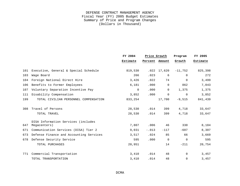|     |                                         | FY 2004  | Price Growth |                 | Program   | FY 2005  |
|-----|-----------------------------------------|----------|--------------|-----------------|-----------|----------|
|     |                                         | Estimate | Percent      | Amount          | Growth    | Estimate |
| 101 | Executive, General & Special Schedule   | 819,530  |              | $.022$ $17,620$ | $-11,752$ | 825,398  |
| 103 | Wage Board                              | 266      | .023         | 6               | $\Omega$  | 272      |
| 104 | Foreign National Direct Hire            | 3,426    | .022         | 74              | $\Omega$  | 3,499    |
| 106 | Benefits to Former Employees            | 6,181    | .000         | $\Omega$        | 862       | 7,043    |
| 107 | Voluntary Separation Incentive Pay      | $\Omega$ | .000         | $\Omega$        | 1,375     | 1,375    |
| 111 | Disability Compensation                 | 3,852    | .000         | $\Omega$        | $\Omega$  | 3,852    |
| 199 | TOTAL CIVILIAN PERSONNEL COMPENSATION   | 833,254  |              | 17,700          | $-9,515$  | 841,439  |
| 308 | Travel of Persons                       | 28,530   | .014         | 399             | 4,718     | 33,647   |
|     | TOTAL TRAVEL                            | 28,530   | .014         | 399             | 4,718     | 33,647   |
|     | DISA Information Services (includes     |          |              |                 |           |          |
| 647 | Megacenters)                            | 7,807    | .006         | 46              | 330       | 8,184    |
| 671 | Communication Services (DISA) Tier 2    | 9,031    | $-.013$      | $-117$          | $-607$    | 8,307    |
| 673 | Defense Finance and Accounting Services | 3,517    | .024         | 85              | 66        | 3,669    |
| 678 | Defense Security Service                | 595      | .000         | $\Omega$        | $\Omega$  | 595      |
|     | TOTAL PURCHASES                         | 20,951   |              | 14              | $-211$    | 20,754   |
| 771 | Commercial Transportation               | 3,410    | .014         | 48              | $\Omega$  | 3,457    |
|     | TOTAL TRANSPORTATION                    | 3,410    | .014         | 48              | $\Omega$  | 3,457    |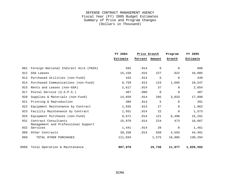|      |                                                             | FY 2004  | Price Growth |             |             |           | Program | FY 2005 |
|------|-------------------------------------------------------------|----------|--------------|-------------|-------------|-----------|---------|---------|
|      |                                                             | Estimate | Percent      | Amount      | Growth      | Estimate  |         |         |
| 901  | Foreign National Indirect Hire (FNIH)                       | 592      | .014         | 8           | $\Omega$    | 600       |         |         |
| 912  | <b>GSA Leases</b>                                           | 15,156   | .015         | 227         | 622         | 16,005    |         |         |
| 913  | Purchased Utilities (non-Fund)                              | 433      | .014         | 6           | $\mathbf 0$ | 439       |         |         |
| 914  | Purchased Communications (non-Fund)                         | 8,759    | .014         | 123         | 1,665       | 10,547    |         |         |
| 915  | Rents and Leases (non-GSA)                                  | 2,617    | .014         | 37          | $\Omega$    | 2,654     |         |         |
| 917  | Postal Service (U.S.P.S.)                                   | 407      | .000         | $\mathbf 0$ | $\Omega$    | 407       |         |         |
| 920  | Supplies & Materials (non-Fund)                             | 14,659   | .014         | 205         | 3,033       | 17,898    |         |         |
| 921  | Printing & Reproduction                                     | 386      | .014         | 5           | $\Omega$    | 391       |         |         |
| 922  | Equipment Maintenance by Contract                           | 1,935    | .014         | 27          | $\Omega$    | 1,962     |         |         |
| 923  | Facility Maintenance by Contract                            | 1,551    | .014         | 22          | $\mathbf 0$ | 1,573     |         |         |
| 925  | Equipment Purchases (non-Fund)                              | 8,671    | .014         | 121         | 6,498       | 15,291    |         |         |
| 931  | Contract Consultants<br>Management and Professional Support | 15,970   | .014         | 224         | 473         | 16,667    |         |         |
| 932  | Services                                                    | 1,441    | .014         | 20          | $\Omega$    | 1,461     |         |         |
| 989  | Other Contracts                                             | 39,258   | .014         | 550         | 4,593       | 44,401    |         |         |
| 999  | TOTAL OTHER PURCHASES                                       | 111,834  |              | 1,575       | 16,885      | 130,294   |         |         |
| 9999 | Total Operation & Maintenance                               | 997,979  |              | 19,736      | 11,877      | 1,029,592 |         |         |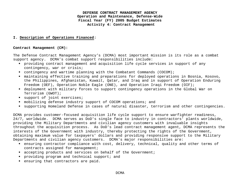#### **I. Description of Operations Financed:**

#### **Contract Management (CM):**

The Defense Contract Management Agency's (DCMA) most important mission is its role as a combat support agency. DCMA's combat support responsibilities include:

- ß providing contract management and acquisition life cycle services in support of any contingency, war or crisis;
- ß contingency and wartime planning with the Combatant Commands (COCOM);
- ß maintaining effective training and preparations for deployed operations in Bosnia, Kosovo, the Philippines, Afghanistan, Kuwait, Qatar, and Iraq and in support of Operation Enduring Freedom (OEF), Operation Noble Eagle (ONE), and Operation Iraqi Freedom (OIF);
- ß deployment with military forces to support contingency operations in the Global War on Terrorism (GWOT);
- support of joint exercises;
- $\blacksquare$  mobilizing defense industry support of COCOM operations; and
- ß supporting Homeland Defense in cases of natural disaster, terrorism and other contingencies.

DCMA provides customer-focused acquisition life cycle support to ensure warfighter readiness, 24/7, worldwide. DCMA serves as DoD's single face to industry in contractors' plants worldwide, providing the Military Departments and civilian agency customers with invaluable insights throughout the acquisition process. As DoD's lead contract management agent, DCMA represents the interests of the Government with industry, thereby protecting the rights of the Government, obtaining maximum value for taxpayers' dollars and providing responsive support to the Military Departments and civilian agency customers. DCMA's major responsibilities are:

- ß ensuring contractor compliance with cost, delivery, technical, quality and other terms of contracts assigned for management;
- **accepting products and services on behalf of the Government;**
- **Peroviding program and technical support; and**
- **•** ensuring that contractors are paid.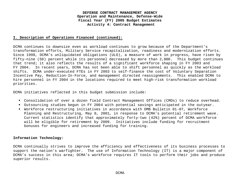#### **I. Description of Operations Financed (continued):**

DCMA continues to downsize even as workload continues to grow because of the Department's transformation efforts, Military Service recapitalization, readiness and modernization efforts. Since 1998, DCMA's unliquidated obligations (ULO), a measure of work in progress, have risen by fifty-nine (59) percent while its personnel decreased by more than 2,800. This budget continues that trend; it also reflects the results of a significant workforce shaping in FY 2003 and FY 2004. In recent years, DCMA has not been able to shift personnel as quickly as the workload shifts. DCMA under-executed FTEs in FY 2003 to self-finance the cost of Voluntary Separation Incentive Pay, Reduction-In-Force, and management directed reassignments. This enabled DCMA to hire personnel in FY 2004 in the locations required to meet high-risk transformation workload priorities.

DCMA initiatives reflected in this budget submission include:

- ß Consolidation of over a dozen field Contract Management Offices (CMOs) to reduce overhead.
- ß Outsourcing studies begun in FY 2004 with potential savings anticipated in the outyear.
- ß Workforce restructuring initiatives in accordance with OMB Bulletin 01-07, Workforce Planning and Restructuring, May 8, 2001, in response to DCMA's potential retirement wave. Current statistics identify that approximately forty-two (42%) percent of DCMA workforce will be eligible for retirement by 2009. Initiatives include funding for recruitment bonuses for engineers and increased funding for training.

#### **Information Technology:**

DCMA continually strives to improve the efficiency and effectiveness of its business processes to support the nation's warfighter. The use of Information Technology (IT) is a major component of DCMA's success in this area; DCMA's workforce requires IT tools to perform their jobs and produce superior results.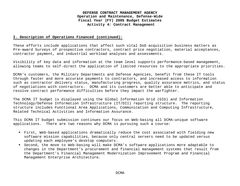#### **I. Description of Operations Financed (continued):**

These efforts include applications that affect such vital DoD acquisition business matters as Pre-award Surveys of prospective contractors, contract price negotiation, material acceptances, contractor payment, and industrial workload analyses and assessments.

Visibility of key data and information at the team level supports performance-based management, allowing teams to self-direct the application of limited resources to the appropriate priorities.

DCMA's customers, the Military Departments and Defense Agencies, benefit from these IT tools through faster and more accurate payments to contractors, and increased access to information such as contractor delivery status, manufacturing progress, quality assurance metrics, and status of negotiations with contractors. DCMA and its customers are better able to anticipate and resolve contract performance difficulties before they impact the warfighter.

The DCMA IT budget is displayed using the Global Information Grid (GIG) and Information Technology/Defense Information Infrastructure (IT/DII) reporting structure. The reporting structure includes Functional Area Applications, Communication and Computing Infrastructure, Related Technical Activities and Information Assurance.

This DCMA IT budget submission continues our focus on Web-basing all DCMA-unique software applications. There are two reasons why DCMA is pursuing such a course:

- ß First, Web-based applications dramatically reduce the cost associated with fielding new software mission capabilities, because only central servers need to be updated versus updating each employee's desktop computers.
- ß Second, the move to Web-basing will make DCMA's software applications more adaptable to changes in the Department's procurement and financial management systems that result from the Department's Financial Management Modernization Improvement Program and Financial Management Enterprise Architecture.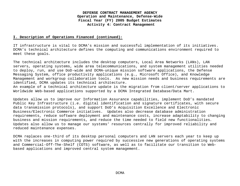#### **I. Description of Operations Financed (continued):**

IT infrastructure is vital to DCMA's mission and successful implementation of its initiatives. DCMA's technical architecture defines the computing and communications environment required to meet these goals.

The technical architecture includes the desktop computers, Local Area Networks (LANs), LAN servers, operating systems, wide area telecommunications, and system management utilities needed to deploy, run, and use DoD-wide and DCMA-unique mission software applications, the Defense Messaging System, office productivity applications (e.g., Microsoft Office), and Knowledge Management and workgroup collaboration tools. As new mission needs and business requirements are identified, DCMA updates its technical architecture.

An example of a technical architecture update is the migration from client/server applications to Worldwide Web-based applications supported by a DCMA Integrated Database/Data Mart.

Updates allow us to improve our Information Assurance capabilities, implement DoD's mandated Public Key Infrastructure (i.e. digital identification and signature certificates, with secure data transmission protocols), and support DoD's Acquisition Excellence and Electronic Business/Electronic Commerce initiatives. Updates also decrease database administration requirements, reduce software deployment and maintenance costs, increase adaptability to changing business and mission requirements, and reduce the time needed to field new functionalities. Updates also allow us to manage our systems' resources centrally for improved reliability and reduced maintenance expenses.

DCMA replaces one-third of its desktop personal computers and LAN servers each year to keep up with the increases in computing power required by successive new generations of operating systems and Commercial-Off-The-Shelf (COTS) software, as well as to facilitate our transition to Webbased applications and improved central system management.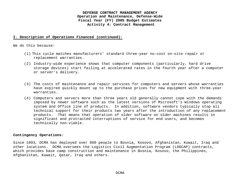#### **I. Description of Operations Financed (continued):**

We do this because:

- (1) This cycle matches manufacturers' standard three-year no-cost on-site repair or replacement warranties.
- (2) Industry-wide experience shows that computer components (particularly, hard drive storage devices) start failing at accelerated rates in the fourth year after a computer or server's delivery.
- (3) The costs of maintenance and repair services for computers and servers whose warranties have expired quickly mount up to the purchase prices for new equipment with three-year warranties.
- (4) Computers and servers more than three years old generally cannot cope with the demands imposed by newer software such as the latest versions of Microsoft's Windows operating system and Office line of products. In addition, software vendors typically stop all technical support for their products two years after the introduction of any replacement products. That means that operation of older software on older machines results in significant and protracted interruptions of service for end users, and becomes technically non-viable.

#### **Contingency Operations:**

Since 1993, DCMA has deployed over 600 people to Bosnia, Kosovo, Afghanistan, Kuwait, Iraq and other locations. DCMA oversees the Logistics Civil Augmentation Program (LOGCAP) contracts, which provides base camp construction and maintenance in Bosnia, Kosovo, the Philippines, Afghanistan, Kuwait, Qatar, Iraq and others.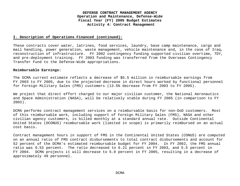#### **I. Description of Operations Financed (continued):**

These contracts cover water, latrines, food services, laundry, base camp maintenance, cargo and mail handling, power generation, waste management, vehicle maintenance and, in the case of Iraq, reconstruction of infrastructure. FY 2002 contingency funding supported civilian overtime, TDY, and pre-deployment training. FY 2003 funding was transferred from the Overseas Contingency Transfer Fund to the Defense-Wide appropriations.

#### **Reimbursable Earnings:**

The DCMA current estimate reflects a decrease of \$5.5 million in reimbursable earnings from FY 2003 to FY 2005, due to the projected decrease in direct hours worked by functional personnel for Foreign Military Sales (FMS) customers (13.5% decrease from FY 2003 to FY 2005).

We project that direct effort charged to our major civilian customer, the National Aeronautics and Space Administration (NASA), will be relatively stable during FY 2005 (in comparison to FY 2003).

DCMA performs contract management services on a reimbursable basis for non-DoD customers. Most of this reimbursable work, including support of Foreign Military Sales (FMS), NASA and other civilian agency customers, is billed monthly at a standard annual rate. Outside Continental United States (OCONUS) reimbursable work (limited in scope) is primarily reimbursed on an actual cost basis.

Contract management hours in support of FMS in the Continental United States (CONUS) are computed on an annual ratio of FMS contract disbursements to total contract disbursements and account for 52 percent of the DCMA's estimated reimbursable budget for FY 2004. In FY 2002, the FMS annual ratio was 6.53 percent. The ratio decreased to 6.21 percent in FY 2003, and 5.5 percent in FY 2004. DCMA projects it will decrease to 5.0 percent in FY 2005, resulting in a decrease of approximately 49 personnel.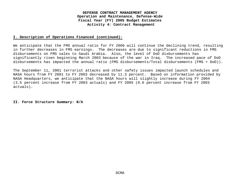#### **I. Description of Operations Financed (continued):**

We anticipate that the FMS annual ratio for FY 2006 will continue the declining trend, resulting in further decreases in FMS earnings. The decreases are due to significant reductions in FMS disbursements on FMS sales to Saudi Arabia. Also, the level of DoD disbursements has significantly risen beginning March 2003 because of the war in Iraq. The increased pace of DoD disbursements has impacted the annual ratio (FMS disbursements/Total disbursements (FMS + DoD)).

The September 11, 2001 terrorist attacks and other safety issues impacted launch schedules and NASA hours from FY 2001 to FY 2003 decreased by 11.3 percent. Based on information provided by NASA Headquarters, we anticipate that the NASA hours will slightly increase during FY 2004 (3.5 percent increase from FY 2003 actuals) and FY 2005 (0.6 percent increase from FY 2003 actuals).

**II. Force Structure Summary: N/A**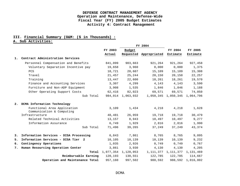## **III. Financial Summary (O&M: (\$ in Thousands) :**

## **A. Sub Activities:**

|    |                                                          |         | FY 2004             |                        |                         |           |
|----|----------------------------------------------------------|---------|---------------------|------------------------|-------------------------|-----------|
|    |                                                          | FY 2003 | Budget              |                        | FY 2004                 | FY 2005   |
|    |                                                          | Actual  |                     | Requested Appropriated | Estimate                | Estimate  |
| 1. | Contract Administration Services                         |         |                     |                        |                         |           |
|    | Personnel Compensation and Benefits                      | 841,099 | 903,663             | 921,264                | 921,264                 | 927,458   |
|    | Voluntary Separation Incentive pay                       | 19,658  | 3,960               | 0,000                  | 0,000                   | 1,375     |
|    | <b>PCS</b>                                               | 18,721  | 20,607              | 15,109                 | 15,109                  | 15,308    |
|    | Travel                                                   | 21,457  | 25,244              | 20,150                 | 20,150                  | 22,257    |
|    | Training                                                 | 13,447  | 22,600              | 18,261                 | 18,261                  | 19,570    |
|    | Finance and Accounting Services                          | 3,307   | 4,299               | 4,143                  | 4,143                   | 3,590     |
|    | Furniture and Non-ADP Equipment                          | 3,908   | 1,535               | 1,846                  | 1,846                   | 1,188     |
|    | Other Operating Support Costs                            | 62,416  | 82,023              | 69,571                 | 69,571                  | 74,050    |
|    | Sub Total                                                | 984,014 | 1,063,932           |                        | 1,050,345 1,050,345     | 1,064,796 |
| 2. | DCMA Information Technology                              |         |                     |                        |                         |           |
|    | Functional Area Application<br>Communication & Computing | 3,109   | 1,434               | 4,218                  | 4,218                   | 1,628     |
|    | Infrastructure                                           | 48,481  | 26,959              | 19,718                 | 19,718                  | 30,479    |
|    | Related Technical Activities                             | 13,157  | 8,943               | 10,497                 | 10,497                  | 9,277     |
|    | Information Assurance                                    | 6,749   | 1,929               | 2,816                  | 2,816                   | 1,990     |
|    | Sub Total                                                | 71,496  | 39,265              | 37,249                 | 37,249                  | 43,374    |
| 3. | Information Services - DISA Processing                   | 6,843   | 7,861               | 8,765                  | 8,765                   | 9,095     |
| 5. | Information Services - DISA Tier 2                       | 10,105  | 10,139              | 10,139                 | 10,139                  | 9,232     |
| 6. | Contingency Operations                                   | 1,035   | 2,926               | 0,749                  | 0,749                   | 0,767     |
| 7. | Human Resourcing Operation Center                        | 3,861   | 3,930               | 4,130                  | 4,130                   | 4,205     |
|    | Total                                                    |         | 1,077,354 1,128,053 |                        | 1, 111, 377 1, 111, 377 | 1,131,469 |
|    | Reimbursable Earning                                     | 120,193 | 130,551             | 122,785                | 122,785                 | 114,667   |
|    | Operation and Maintenance Total                          | 957,160 | 997.502             | 988,592                | 988,592                 | 1,016,802 |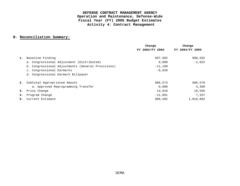## **B. Reconciliation Summary:**

|    |                                                   | Change          | Change          |
|----|---------------------------------------------------|-----------------|-----------------|
|    |                                                   | FY 2004/FY 2004 | FY 2004/FY 2005 |
|    |                                                   |                 |                 |
| 1. | Baseline Finding                                  | 997,502         | 988,592         |
|    | a. Congressional Adjustment (Distributed)         | 0.890           | $-2.022$        |
|    | b. Congressional Adjustments (General Provisions) | $-11,199$       |                 |
|    | c. Congressional Earmarks                         | $-0,620$        |                 |
|    | d. Congressional Earmark Billpayer                |                 |                 |
| 2. | Subtotal Appropriated Amount                      | 986,573         | 986,570         |
|    | a. Approved Reprogramming Transfer                | 0,000           | 3,300           |
| 3. | Price Change                                      | 13,910          | 19,595          |
| 4. | Program Change                                    | $-11,891$       | 7,337           |
| 5. | Current Estimate                                  | 988,592         | 1,016,802       |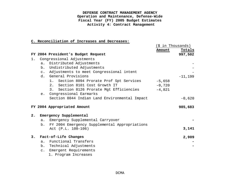|       |                                                     | (\$ in Thousands) |
|-------|-----------------------------------------------------|-------------------|
|       |                                                     | Totals<br>Amount  |
|       | FY 2004 President's Budget Request                  | 997,502           |
| $1$ . | Congressional Adjustments                           |                   |
|       | Distributed Adjustments<br>a.                       |                   |
|       | Undistributed Adjustments<br>$b$ .                  |                   |
|       | c. Adjustments to meet Congressional intent         |                   |
|       | d. General Provisions                               | $-11,199$         |
|       | Section 8094 Prorate Prof Spt Services<br>1.        | $-5,658$          |
|       | 2. Section 8101 Cost Growth IT                      | $-0,720$          |
|       | Section 8126 Prorate Mgt Efficiencies<br>3.         | $-4,821$          |
|       | Congressional Earmarks<br>e.                        |                   |
|       | Section 8044 Indian Land Environmental Impact       | $-0,620$          |
|       |                                                     |                   |
|       | FY 2004 Appropriated Amount                         | 985,683           |
|       |                                                     |                   |
| 2.    | Emergency Supplemental                              |                   |
|       | Emergency Supplemental Carryover<br>a.              |                   |
|       | FY 2004 Emergency Supplemental Appropriations<br>b. |                   |
|       | Act (P.L. 108-106)                                  | 3,141             |
|       |                                                     |                   |
| 3.    | Fact-of-Life Changes                                | 2,909             |
|       | Functional Transfers<br>$a$ .                       |                   |
|       | b. Technical Adjustments                            |                   |
|       | c. Emergent Requirements                            |                   |
|       | 1. Program Increases                                |                   |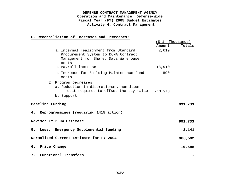|                  |                                                                                                                               | (\$ in Thousands) |          |
|------------------|-------------------------------------------------------------------------------------------------------------------------------|-------------------|----------|
|                  |                                                                                                                               | Amount            | Totals   |
|                  | a. Internal realignment from Standard<br>Procurement System to DCMA Contract<br>Management for Shared Data Warehouse<br>costs | 2,019             |          |
|                  | b. Payroll increase                                                                                                           | 13,910            |          |
|                  | c. Increase for Building Maintenance Fund<br>costs                                                                            | 890               |          |
|                  | 2. Program Decreases<br>a. Reduction in discretionary non-labor<br>cost required to offset the pay raise                      | $-13,910$         |          |
|                  | b. Support                                                                                                                    |                   |          |
| Baseline Funding |                                                                                                                               |                   | 991,733  |
| 4.               | Reprogrammings (requiring 1415 action)                                                                                        |                   |          |
|                  | Revised FY 2004 Estimate                                                                                                      |                   | 991,733  |
|                  | 5. Less: Emergency Supplemental funding                                                                                       |                   | $-3,141$ |
|                  | Normalized Current Estimate for FY 2004                                                                                       |                   | 988,592  |
| 6. Price Change  |                                                                                                                               |                   | 19,595   |
|                  | 7. Functional Transfers                                                                                                       |                   |          |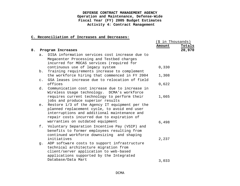|                |                                                                                                                                            | Amount                                                                                                                                                                                                                                      | Totals                              |
|----------------|--------------------------------------------------------------------------------------------------------------------------------------------|---------------------------------------------------------------------------------------------------------------------------------------------------------------------------------------------------------------------------------------------|-------------------------------------|
|                |                                                                                                                                            |                                                                                                                                                                                                                                             | 20,970                              |
| a.             | DISA information services cost increase due to<br>Megacenter Processing and Testbed charges<br>incurred for MOCAS services (required for   |                                                                                                                                                                                                                                             |                                     |
| b.             | Training requirements increase to complement                                                                                               |                                                                                                                                                                                                                                             |                                     |
| $\mathsf{C}$ . | the workforce hiring that commenced in FY 2004                                                                                             | 1,308                                                                                                                                                                                                                                       |                                     |
|                | offices                                                                                                                                    | 0,622                                                                                                                                                                                                                                       |                                     |
| d.             | Communication cost increase due to increase in<br>Wireless Usage technology. DCMA's workforce                                              |                                                                                                                                                                                                                                             |                                     |
|                | requires current technology to perform their<br>jobs and produce superior results                                                          |                                                                                                                                                                                                                                             |                                     |
|                | planned replacement cycle, to avoid end user<br>interruptions and additional maintenance and<br>repair costs incurred due to expiration of |                                                                                                                                                                                                                                             |                                     |
|                |                                                                                                                                            | 6,498                                                                                                                                                                                                                                       |                                     |
| f.             | Voluntary Separation Incentive Pay (VSIP) and<br>benefits to former employees resulting from<br>continued workforce downsizing and shaping |                                                                                                                                                                                                                                             |                                     |
|                | initiatives                                                                                                                                | 2,237                                                                                                                                                                                                                                       |                                     |
| q.             | ADP software costs to support infrastructure<br>technical architecture migration from<br>client/server application to web-based            |                                                                                                                                                                                                                                             |                                     |
|                | Database/Data Mart                                                                                                                         | 3,033                                                                                                                                                                                                                                       |                                     |
|                |                                                                                                                                            | Program Increases<br>continuous use of legacy system<br>GSA leases increase due to relocation of field<br>e. Restore 1/3 of the Agency IT equipment per the<br>warranties on outdated equipment<br>applications supported by the Integrated | (\$ in Thousands)<br>0,330<br>1,665 |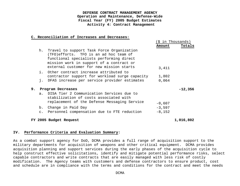#### **C. Reconciliation of Increases and Decreases:**

|    |                |                                                                                                                                                                                                                          |          | \$ in Thousands) |
|----|----------------|--------------------------------------------------------------------------------------------------------------------------------------------------------------------------------------------------------------------------|----------|------------------|
|    |                |                                                                                                                                                                                                                          | Amount   | Totals           |
|    | h.             | Travel to support Task Force Organization<br>(TFO) efforts. TFO is an ad hoc team of<br>functional specialists performing direct<br>mission work in support of a contract or<br>external customer for new mission starts | 3,411    |                  |
|    |                | i. Other contract increase attributed to<br>contractor support for workload surge capacity                                                                                                                               | 1,802    |                  |
|    | j.             | DFAS increase per service provider estimates                                                                                                                                                                             | 0,064    |                  |
| 9. |                | Program Decreases                                                                                                                                                                                                        |          | $-12,356$        |
|    |                | a. DISA Tier 2 Communication Services due to<br>stabilization of costs associated with<br>replacement of the Defense Messaging Service                                                                                   | $-0,607$ |                  |
|    |                | b. Change in Paid Day                                                                                                                                                                                                    | $-3,597$ |                  |
|    | $\mathsf{C}$ . | Personnel compensation due to FTE reduction                                                                                                                                                                              | $-8,152$ |                  |
|    |                | FY 2005 Budget Request                                                                                                                                                                                                   |          | 1,016,802        |

## **IV. Performance Criteria and Evaluation Summary:**

As a combat support agency for DoD, DCMA provides a full range of acquisition support to the military departments for acquisition of weapons and other critical equipment. DCMA provides acquisition planning and support services during the early phases of the acquisition cycle to help construct effective solicitations, identify and mitigate potential performance risks, select capable contractors and write contracts that are easily managed with less risk of costly modification. The Agency teams with customers and defense contractors to ensure product, cost and schedule are in compliance with the terms and conditions for the contract and meet the needs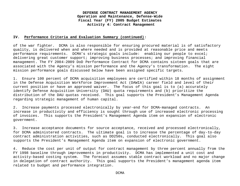#### **IV. Performance Criteria and Evaluation Summary (continued):**

of the war fighter. DCMA is also responsible for ensuring procured material is of satisfactory quality, is delivered when and where needed and is provided at reasonable price and meets performance requirements. DCMA's strategic goals include: enabling our people to excel; delivering great customer support; improving business processes; and improving financial management. The FY 2004-2009 DoD Performance Contract for DCMA contains sixteen goals that are associated with the Agency's mission performance and the Agency's transformation. The eight mission performance goals discussed below have been assigned specific targets.

1. Ensure 100 percent of DCMA acquisition employees are certified within 18 months of assignment in the Defense Acquisition Workforce Improvement Act (DAWIA) career field and level of their current position or have an approved waiver. The focus of this goal is to (a) accurately identify Defense Acquisition University (DAU) quota requirements and (b) prioritize the distribution of the DAU quotas received. This goal supports the President's Management Agenda regarding strategic management of human capital.

2. Increase payments processed electronically by year-end for DCMA-managed contracts. An increase in productivity and efficiency is sought through use of increased electronic processing of invoices. This supports the President's Management Agenda item on expansion of electronic government.

3. Increase acceptance documents for source acceptance, received and processed electronically, for DCMA administered contracts. The ultimate goal is to increase the percentage of day-to-day contract administration activities, such as DD250s, conducted electronically. This goal also supports the President's Management Agenda item on expansion of electronic government.

4. Reduce the cost per unit of output for contract management by three percent annually from the FY 1998 baseline through improvements in productivity. DCMA has implemented a unit cost and activity-based costing system. The forecast assumes stable contract workload and no major change in delegation of contract authority. This goal supports the President's management agenda item related to budget and performance integration.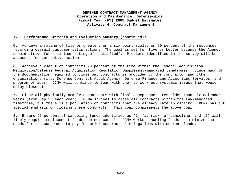#### **IV. Performance Criteria and Evaluation Summary (continued):**

5. Achieve a rating of five or greater, on a six point scale, on 90 percent of the responses regarding overall customer satisfaction. The goal is set for five or better because the Agency should strive for a minimum rating of "satisfied". Problems identified in the survey will be assessed for corrective action.

6. Achieve closeout of contracts 90 percent of the time within the Federal Acquisition Regulation/Defense Federal Acquisition Regulation Supplement-mandated timeframes. Since much of the documentation required to close out contracts is provided by the contractor and other organizations (i.e. Defense Contract Audit Agency, Defense Finance and Accounting Services, and program offices), DCMA will continue to team with them to work out systemic issues that would delay closeout.

7. Close all physically complete contracts with final acceptance dates older than six calendar years (from Sep 30 each year). DCMA strives to close all contracts within the FAR-mandated timeframe, but there is a population of contracts that are already late in closing. DCMA has put special emphasis on closing these contracts. This goal complements the above goal.

8. Ensure 95 percent of canceling funds identified as (1) "at risk" of canceling, and (2) will likely require replacement funds, do not cancel. DCMA works canceling funds to minimize the needs for its customers to pay for prior contractual obligations with current funds.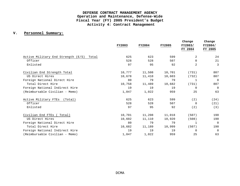## **V. Personnel Summary:**

|                                          |               |               |               | Change         | Change         |
|------------------------------------------|---------------|---------------|---------------|----------------|----------------|
|                                          | <b>FY2003</b> | <b>FY2004</b> | <b>FY2005</b> | FY2003/        | FY2004/        |
|                                          |               |               |               | FY 2004        | FY 2005        |
| Active Military End Strength (E/S) Total | 625           | 623           | 599           | 2              | 24             |
| Officer                                  | 528           | 528           | 507           | $\Omega$       | 21             |
| Enlisted                                 | 97            | 95            | 92            | $\overline{2}$ | 3              |
| Civilian End Strength Total              | 10,777        | 11,508        | 10,701        | (731)          | 807            |
| US Direct Hires                          | 10,678        | 11,410        | 10,603        | (732)          | 807            |
| Foreign National Direct Hire             | 80            | 79            | 79            | $\mathbf{1}$   | $\overline{0}$ |
| Total Direct Hire                        | 10,758        | 11,489        | 10,682        | (731)          | 807            |
| Foreign National Indirect Hire           | 19            | 19            | 19            | $\Omega$       | $\Omega$       |
| (Reimbursable Civilian - Memo)           | 1,047         | 1,022         | 959           | 25             | 63             |
| Active Military FTEs<br>(Total)          | 625           | 623           | 599           | (2)            | (24)           |
| Officer                                  | 528           | 528           | 507           | $\Omega$       | (21)           |
| Enlisted                                 | 97            | 95            | 92            | (2)            | (3)            |
| Civilian End FTEs (<br>( Total)          | 10,701        | 11,208        | 11,018        | (507)          | 190            |
| US Direct Hires                          | 10,602        | 11,110        | 10,920        | (508)          | 190            |
| Foreign National Direct Hire             | 80            | 79            | 79            | $\mathbf{1}$   | $\overline{0}$ |
| Total Direct Hire                        | 10,682        | 11,189        | 10,999        | (507)          | 190            |
| Foreign National Indirect Hire           | 19            | 19            | 19            | $\Omega$       | $\Omega$       |
| (Reimbursable Civilian - Memo)           | 1,047         | 1,022         | 959           | 25             | 63             |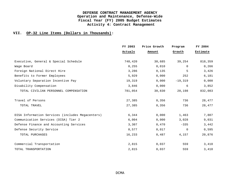|                                                  | FY 2003 | Price Growth | Program   | FY 2004  |
|--------------------------------------------------|---------|--------------|-----------|----------|
|                                                  | Actuals | Amount       | Growth    | Estimate |
| Executive, General & Special Schedule            | 748,420 | 30,685       | 39,254    | 818,359  |
| Wage Board                                       | 0,255   | 0,010        | $\cap$    | 0,266    |
| Foreign National Direct Hire                     | 3,286   | 0,135        | 5         | 3,426    |
| Benefits to Former Employees                     | 5,929   | 0,000        | 252       | 6,181    |
| Voluntary Separation Incentive Pay               | 19,319  | 0,000        | $-19,319$ | 0,000    |
| Disability Compensation                          | 3,846   | 0,000        | 6         | 3,852    |
| TOTAL CIVILIAN PERSONNEL COMPENSATION            | 781,054 | 30,830       | 20,198    | 832,083  |
| Travel of Persons                                | 27,385  | 0,356        | 736       | 28,477   |
| TOTAL TRAVEL                                     | 27,385  | 0,356        | 736       | 28,477   |
| DISA Information Services (includes Megacenters) | 6,344   | 0,000        | 1,463     | 7,807    |
| Communication Services (DISA) Tier 2             | 6,004   | 0,000        | 3,028     | 9,031    |
| Defense Finance and Accounting Services          | 3,307   | 0,470        | $-335$    | 3,442    |
| Defense Security Service                         | 0.577   | 0.017        | $\Omega$  | 0,595    |
| TOTAL PURCHASES                                  | 16,233  | 0,487        | 4,157     | 20,876   |
| Commercial Transportation                        | 2,815   | 0,037        | 559       | 3,410    |
| TOTAL TRANSPORTATION                             | 2,815   | 0,037        | 559       | 3,410    |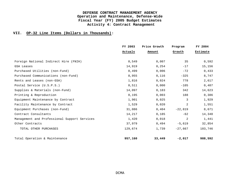|                                              | FY 2003 | Price Growth | Program   | FY 2004  |
|----------------------------------------------|---------|--------------|-----------|----------|
|                                              | Actuals | Amount       | Growth    | Estimate |
| Foreign National Indirect Hire (FNIH)        | 0,549   | 0,007        | 35        | 0,592    |
| GSA Leases                                   | 14,919  | 0, 254       | $-17$     | 15,156   |
| Purchased Utilities (non-Fund)               | 0,499   | 0,006        | $-72$     | 0,433    |
| Purchased Communications (non-Fund)          | 8,955   | 0,116        | $-325$    | 8,747    |
| Rents and Leases (non-GSA)                   | 1,816   | 0,024        | 778       | 2,617    |
| Postal Service (U.S.P.S.)                    | 0,511   | 0,000        | $-105$    | 0,407    |
| Supplies & Materials (non-Fund)              | 14,097  | 0,183        | 342       | 14,623   |
| Printing & Reproduction                      | 0,195   | 0,003        | 188       | 0,386    |
| Equipment Maintenance by Contract            | 1,901   | 0,025        | 3         | 1,929    |
| Facility Maintenance by Contract             | 1,529   | 0,020        | 2         | 1,551    |
| Equipment Purchases (non-Fund)               | 31,086  | 0,404        | $-22,819$ | 8,671    |
| Contract Consultants                         | 14,217  | 0,185        | $-62$     | 14,340   |
| Management and Professional Support Services | 1,420   | 0,018        | 2         | 1,441    |
| Other Contracts                              | 37,979  | 0,494        | $-5,619$  | 32,854   |
| TOTAL OTHER PURCHASES                        | 129,674 | 1,739        | $-27,667$ | 103,746  |
| Total Operation & Maintenance                | 957,160 | 33,449       | $-2,017$  | 988,592  |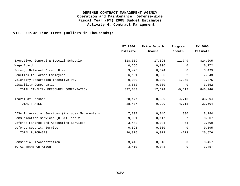|                                                  | FY 2004  | Price Growth | Program     | FY 2005  |
|--------------------------------------------------|----------|--------------|-------------|----------|
|                                                  | Estimate | Amount       | Growth      | Estimate |
| Executive, General & Special Schedule            | 818,359  | 17,595       | $-11,749$   | 824,205  |
| Wage Board                                       | 0,266    | 0,006        | $\Omega$    | 0,272    |
| Foreign National Direct Hire                     | 3,426    | 0.074        | $\Omega$    | 3,499    |
| Benefits to Former Employees                     | 6,181    | 0,000        | 862         | 7,043    |
| Voluntary Separation Incentive Pay               | 0,000    | 0,000        | 1,375       | 1,375    |
| Disability Compensation                          | 3,852    | 0,000        | $\Omega$    | 3,852    |
| TOTAL CIVILIAN PERSONNEL COMPENSATION            | 832,083  | 17,674       | $-9,512$    | 840,246  |
| Travel of Persons                                | 28,477   | 0,399        | 4,718       | 33,594   |
| TOTAL TRAVEL                                     | 28,477   | 0,399        | 4,718       | 33,594   |
| DISA Information Services (includes Megacenters) | 7,807    | 0,046        | 330         | 8,184    |
| Communication Services (DISA) Tier 2             | 9,031    | $-0,117$     | $-607$      | 8,307    |
| Defense Finance and Accounting Services          | 3,442    | 0,084        | 64          | 3,590    |
| Defense Security Service                         | 0,595    | 0,000        | $\Omega$    | 0,595    |
| TOTAL PURCHASES                                  | 20,876   | 0,012        | $-213$      | 20,676   |
| Commercial Transportation                        | 3,410    | 0,048        | $\Omega$    | 3,457    |
| TOTAL TRANSPORTATION                             | 3,410    | 0,048        | $\mathbf 0$ | 3,457    |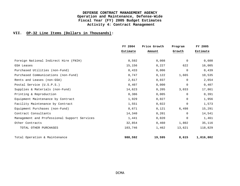|                                              | FY 2004  | Price Growth | Program  | FY 2005   |
|----------------------------------------------|----------|--------------|----------|-----------|
|                                              | Estimate | Amount       | Growth   | Estimate  |
| Foreign National Indirect Hire (FNIH)        | 0,592    | 0,008        | $\cap$   | 0,600     |
| <b>GSA Leases</b>                            | 15,156   | 0,227        | 622      | 16,005    |
| Purchased Utilities (non-Fund)               | 0,433    | 0,006        | $\Omega$ | 0,439     |
| Purchased Communications (non-Fund)          | 8,747    | 0,122        | 1,665    | 10,535    |
| Rents and Leases (non-GSA)                   | 2,617    | 0,037        | $\Omega$ | 2,654     |
| Postal Service (U.S.P.S.)                    | 0,407    | 0,000        | $\Omega$ | 0,407     |
| Supplies & Materials (non-Fund)              | 14,623   | 0,205        | 3,033    | 17,861    |
| Printing & Reproduction                      | 0,386    | 0,005        | $\Omega$ | 0,391     |
| Equipment Maintenance by Contract            | 1,929    | 0,027        | $\Omega$ | 1,956     |
| Facility Maintenance by Contract             | 1,551    | 0,022        | $\Omega$ | 1,573     |
| Equipment Purchases (non-Fund)               | 8,671    | 0,121        | 6,498    | 15,291    |
| Contract Consultants                         | 14,340   | 0, 201       | $\Omega$ | 14,541    |
| Management and Professional Support Services | 1,441    | 0,020        | $\Omega$ | 1,461     |
| Other Contracts                              | 32,854   | 0,460        | 1,802    | 35,116    |
| TOTAL OTHER PURCHASES                        | 103,746  | 1,462        | 13,621   | 118,829   |
| Total Operation & Maintenance                | 988,592  | 19,595       | 8,615    | 1,016,802 |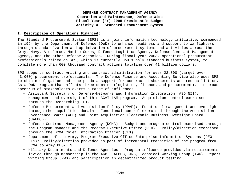#### **I. Description of Operations Financed:**

The Standard Procurement System (SPS) is a joint information technology initiative, commenced in 1994 by the Department of Defense (DoD) to enhance readiness and support to warfighters through standardization and optimization of procurement systems and activities across the Army, Navy, Air Force, Marine Corps, Defense Logistics Agency, Defense Contract Management Agency, and the other Defense Agencies. During fiscal year 2003, operational procurement professionals relied on SPS, which is currently DoD's only standard business system, to complete more than 600 thousand contract actions totaling over 41 billion dollars.

SPS supports contract writing and contract administration for over 22,800 (target over 43,000) procurement professionals. The Defense Finance and Accounting Service also uses SPS to obtain obligation and receipt data support for contract disbursements and reconciliation. As a DoD program that affects three domains (logistics, finance, and procurement), its broad spectrum of stakeholders exerts a range of influence:

- Assistant Secretary of Defense-Networks and Information Integration (ASD NII): Management and oversight of this ACAT 1AM program. Acquisition control exercised through the Overarching IPT.
- Defense Procurement and Acquisition Policy (DPAP): Functional management and oversight through the acquisition domain. Functional control exercised through the Acquisition Governance Board (AGB) and Joint Acquisition Electronic Business Oversight Board (JAEBOB).
- Defense Contract Management Agency (DCMA): Budget and program control exercised through the Program Manager and the Program Executive Office (PEO). Policy/direction exercised through the DCMA Chief Information Officer (CIO).
- Department of the Army, Program Executive Office-Enterprise Information Systems (PEO-EIS): Policy/direction provided as part of incremental transition of the program from DCMA to Army PEO-EIS.
- Military Departments and Defense Agencies: Program influence provided via requirements levied through membership in the AGB, JAEBOB, JRB, Technical Working Group (TWG), Report Writing Group (RWG) and participation in decentralized product testing.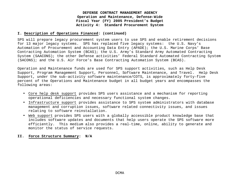#### **I. Description of Operations Financed: (continued)**

SPS will prepare legacy procurement system users to use SPS and enable retirement decisions for 13 major legacy systems. SPS has replaced five legacy systems: the U.S. Navy's Automation of Procurement and Accounting Data Entry (APADE); the U.S. Marine Corps' Base Contracting Automation System (BCAS); the U.S. Army's Standard Army Automated Contracting System (SAACONS); the other Defense activities' Federal Standard Automated Contracting System (SACONS); and the U.S. Air Force's Base Contracting Automation System (BCAS).

Operation and Maintenance funds are used for SPS support activities, such as Help Desk Support, Program Management Support, Personnel, Software Maintenance, and Travel. Help Desk Support, under the sub-activity software maintenance/COTS, is approximately forty-five percent of the Operations and Maintenance budget in all budget years and encompasses the following areas:

- Core help desk support provides SPS users assistance and a mechanism for reporting operational deficiencies and necessary functional system changes.
- Infrastructure support provides assistance to SPS system administrators with database management and corruption issues, software related connectivity issues, and issues relating to software reinstallation.
- Web support provides SPS users with a globally accessible product knowledge base that includes software updates and documents that help users operate the SPS software more efficiently. This medium also provides a real-time, online, ability to generate and monitor the status of service requests.

#### **II. Force Structure Summary: N/A**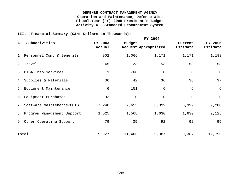## **III. Financial Summary (O&M: Dollars in Thousands):**

| Subactivities:<br>Α.          | FY 2003<br>Actual | <b>Budget</b>  | Request Appropriated | Current<br>Estimate | FY 2005<br>Estimate |
|-------------------------------|-------------------|----------------|----------------------|---------------------|---------------------|
| 1. Personnel Comp & Benefits  | 902               | 1,066          | 1,171                | 1,171               | 1,193               |
| 2. Travel                     | 45                | 123            | 53                   | 53                  | 53                  |
| 3. DISA Info Services         | $\mathbf{1}$      | 768            | $\mathsf{O}$         | $\overline{0}$      | $\mathsf{O}$        |
| 4. Supplies & Materials       | 36                | 42             | 36                   | 36                  | 37                  |
| 5. Equipment Maintenance      | 6                 | 151            | 6                    | 6                   | $6\overline{6}$     |
| 6. Equipment Purchases        | 93                | $\overline{0}$ | $\mathbf 0$          | $\mathbf 0$         | $\mathsf{O}$        |
| 7. Software Maintenance/COTS  | 7,240             | 7,653          | 6,399                | 6,399               | 9,280               |
| 8. Program Management Support | 1,525             | 1,568          | 1,630                | 1,630               | 2,126               |
| 9. Other Operating Support    | 79                | 35             | 92                   | 92                  | 95                  |
| Total                         | 9,927             | 11,406         | 9,387                | 9,387               | 12,790              |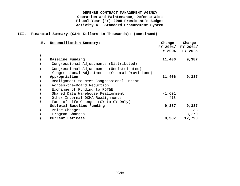## **III. Financial Summary (O&M: Dollars in Thousands): (continued)**

| в. | Reconciliation Summary:                        | Change   | Change   |
|----|------------------------------------------------|----------|----------|
|    |                                                | FY 2004/ | FY 2004/ |
|    |                                                | FY 2004  | FY 2005  |
|    |                                                |          |          |
|    | Baseline Funding                               | 11,406   | 9,387    |
|    | Congressional Adjustments (Distributed)        |          |          |
|    | Congressional Adjustments (Undistributed)      |          |          |
|    | Congressional Adjustments (General Provisions) |          |          |
|    | Appropriation                                  | 11,406   | 9,387    |
|    | Realignment to Meet Congressional Intent       |          |          |
|    | Across-the-Board Reduction                     |          |          |
|    | Exchange of Funding to RDT&E                   |          |          |
|    | Shared Data Warehouse Realignment              | $-1,601$ |          |
|    | Other Internal DCMA Realignments               | $-418$   |          |
|    | Fact-of-Life Changes (CY to CY Only)           |          |          |
|    | Subtotal Baseline Funding                      | 9,387    | 9,387    |
|    | Price Changes                                  |          | 133      |
|    | Program Changes                                |          | 3,270    |
|    | Current Estimate                               | 9,387    | 12,790   |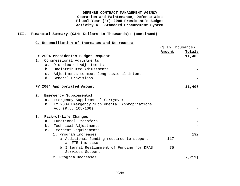## **III. Financial Summary (O&M: Dollars in Thousands): (continued)**

|    |                |                                                                 | (\$ in Thousands) |          |
|----|----------------|-----------------------------------------------------------------|-------------------|----------|
|    |                |                                                                 | Amount            | Totals   |
|    |                | FY 2004 President's Budget Request                              |                   | 11,406   |
| 1. |                | Congressional Adjustments                                       |                   |          |
|    | a.             | Distributed Adjustments                                         |                   |          |
|    | $b$ .          | Undistributed Adjustments                                       |                   |          |
|    | $\mathsf{C}$ . | Adjustments to meet Congressional intent                        |                   |          |
|    |                | d. General Provisions                                           |                   |          |
|    |                | FY 2004 Appropriated Amount                                     |                   | 11,406   |
|    |                |                                                                 |                   |          |
| 2. |                | Emergency Supplemental                                          |                   |          |
|    | $a$ .          | Emergency Supplemental Carryover                                |                   |          |
|    | b.             | FY 2004 Emergency Supplemental Appropriations                   |                   |          |
|    |                | Act (P.L. 108-106)                                              |                   |          |
| 3. |                | Fact-of-Life Changes                                            |                   |          |
|    | a <sub>1</sub> | Functional Transfers                                            |                   |          |
|    | $b_{\perp}$    | Technical Adjustments                                           |                   |          |
|    |                | c. Emergent Requirements                                        |                   |          |
|    |                | 1. Program Increases                                            |                   | 192      |
|    |                | a. Additional funding required to support<br>an FTE increase    | 117               |          |
|    |                | b. Internal Realignment of Funding for DFAS<br>Services Support | 75                |          |
|    |                | 2. Program Decreases                                            |                   | (2, 211) |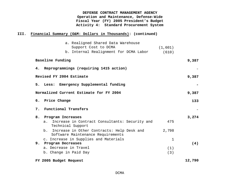## **III. Financial Summary (O&M: Dollars in Thousands): (continued)**

|    | a. Realigned Shared Data Warehouse<br>Support Cost to DCMA                            |          |        |
|----|---------------------------------------------------------------------------------------|----------|--------|
|    |                                                                                       | (1, 601) |        |
|    | b. Internal Realignment for DCMA Labor                                                | (610)    |        |
|    | Baseline Funding                                                                      |          | 9,387  |
|    | 4. Reprogrammings (requiring 1415 action)                                             |          |        |
|    | Revised FY 2004 Estimate                                                              |          | 9,387  |
|    | 5. Less: Emergency Supplemental funding                                               |          |        |
|    | Normalized Current Estimate for FY 2004                                               |          | 9,387  |
|    | 6. Price Change                                                                       |          | 133    |
|    | 7. Functional Transfers                                                               |          |        |
| 8. | Program Increases                                                                     |          | 3,274  |
|    | Increase in Contract Consultants: Security and<br>$a$ .<br>Technical Support          | 475      |        |
|    | Increase in Other Contracts: Help Desk and<br>b.<br>Software Maintenance Requirements | 2,798    |        |
|    | c. Increase in Supplies and Materials                                                 | 1        |        |
|    | 9. Program Decreases                                                                  |          | (4)    |
|    | a. Decrease in Travel                                                                 | (1)      |        |
|    | b. Change in Paid Day                                                                 | (3)      |        |
|    | FY 2005 Budget Request                                                                |          | 12,790 |
|    |                                                                                       |          |        |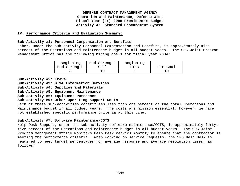#### **IV. Performance Criteria and Evaluation Summary:**

#### **Sub-Activity #1: Personnel Compensation and Benefits**

Labor, under the sub-activity Personnel Compensation and Benefits, is approximately nine percent of the Operations and Maintenance budget in all budget years. The SPS Joint Program Management Office has the following hiring goals for fiscal year 2004:

| Beginning    | End-Strength | Beginning |          |
|--------------|--------------|-----------|----------|
| End-Strength | Goal         | FTEs      | FTE Goal |
|              |              |           |          |

**Sub-Activity #2: Travel**

**Sub-Activity #3: DISA Information Services**

**Sub-Activity #4: Supplies and Materials**

**Sub-Activity #5: Equipment Maintenance**

**Sub-Activity #6: Equipment Purchases**

#### **Sub-Activity #9: Other Operating Support Costs**

Each of these sub-activities constitutes less than one percent of the total Operations and Maintenance budget in all budget years. The costs are mission essential; however, we have not established specific performance criteria at this time.

#### **Sub-Activity #7: Software Maintenance/COTS**

Help Desk Support, under the sub-activity software maintenance/COTS, is approximately fortyfive percent of the Operations and Maintenance budget in all budget years. The SPS Joint Program Management Office monitors Help Desk metrics monthly to ensure that the contractor is meeting the performance criteria. When working on service requests, the SPS Help Desk is required to meet target percentages for average response and average resolution times, as follows: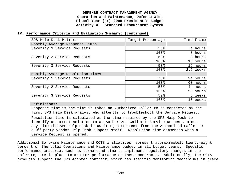#### **IV. Performance Criteria and Evaluation Summary: (continued)**

| SPS Help Desk Metrics                                                                    | Target Percentage | Time Frame |  |  |  |  |  |  |
|------------------------------------------------------------------------------------------|-------------------|------------|--|--|--|--|--|--|
| Monthly Average Response Times                                                           |                   |            |  |  |  |  |  |  |
| Severity 1 Service Requests                                                              | 50%               | 4 hours    |  |  |  |  |  |  |
|                                                                                          | 100%              | 8 hours    |  |  |  |  |  |  |
| Severity 2 Service Requests                                                              | 50%               | 8 hours    |  |  |  |  |  |  |
|                                                                                          | 100%              | 16 hours   |  |  |  |  |  |  |
| Severity 3 Service Requests                                                              | 50%               | 16 hours   |  |  |  |  |  |  |
|                                                                                          | 100%              | 2.5 weeks  |  |  |  |  |  |  |
| Monthly Average Resolution Times                                                         |                   |            |  |  |  |  |  |  |
| Severity 1 Service Requests                                                              | 75%               | 24 hours   |  |  |  |  |  |  |
|                                                                                          | 100%              | 60 hours   |  |  |  |  |  |  |
| Severity 2 Service Requests                                                              | 50%               | 44 hours   |  |  |  |  |  |  |
|                                                                                          | 100%              | 96 hours   |  |  |  |  |  |  |
| Severity 3 Service Requests                                                              | 50%               | 5 weeks    |  |  |  |  |  |  |
|                                                                                          | 100%              | 10 weeks   |  |  |  |  |  |  |
| Definitions:                                                                             |                   |            |  |  |  |  |  |  |
| Response time is the time it takes an Authorized Caller to be contacted by the           |                   |            |  |  |  |  |  |  |
| first SPS Help Desk analyst who attempts to troubleshoot the Service Request.            |                   |            |  |  |  |  |  |  |
| Resolution time is calculated as the time required by the SPS Help Desk to               |                   |            |  |  |  |  |  |  |
| identify a correct solution to an Authorized Caller's Service Request, minus             |                   |            |  |  |  |  |  |  |
| any time the SPS Help Desk is awaiting a response from the Authorized Caller or          |                   |            |  |  |  |  |  |  |
| a 3 <sup>rd</sup> party vendor Help Desk support staff. Resolution time commences when a |                   |            |  |  |  |  |  |  |
| Service Request is opened.                                                               |                   |            |  |  |  |  |  |  |

Additional Software Maintenance and COTS initiatives represent approximately twenty-eight percent of the total Operations and Maintenance budget in all budget years. Specific performance criteria, such as turnaround time to implement regulatory changes in the software, are in place to monitor performance on these contracts. Additionally, the COTS products support the SPS Adapter contract, which has specific monitoring mechanisms in place.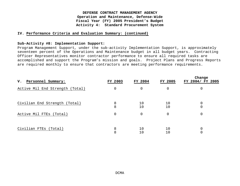#### **IV. Performance Criteria and Evaluation Summary: (continued)**

#### **Sub-Activity #8: Implementation Support:**

Program Management Support, under the sub-activity Implementation Support, is approximately seventeen percent of the Operations and Maintenance budget in all budget years. Contracting Officer Representatives monitor contractor performance to ensure all required tasks are accomplished and support the Program's mission and goals. Project Plans and Progress Reports are required monthly to ensure that contractors are meeting performance requirements.

| Personnel Summary:<br>v.        | FY 2003 | FY 2004  | FY 2005  | Change<br>FY 2004/ FY 2005 |
|---------------------------------|---------|----------|----------|----------------------------|
| Active Mil End Strength (Total) | 0       | 0        | $\Omega$ | 0                          |
| Civilian End Strength (Total)   | 8<br>8  | 10<br>10 | 10<br>10 | 0<br>$\overline{0}$        |
| Active Mil FTEs (Total)         | 0       | 0        |          | 0                          |
| Civilian FTEs (Total)           | 8<br>8  | 10       | 10<br>10 | 0<br>$\mathbf 0$           |